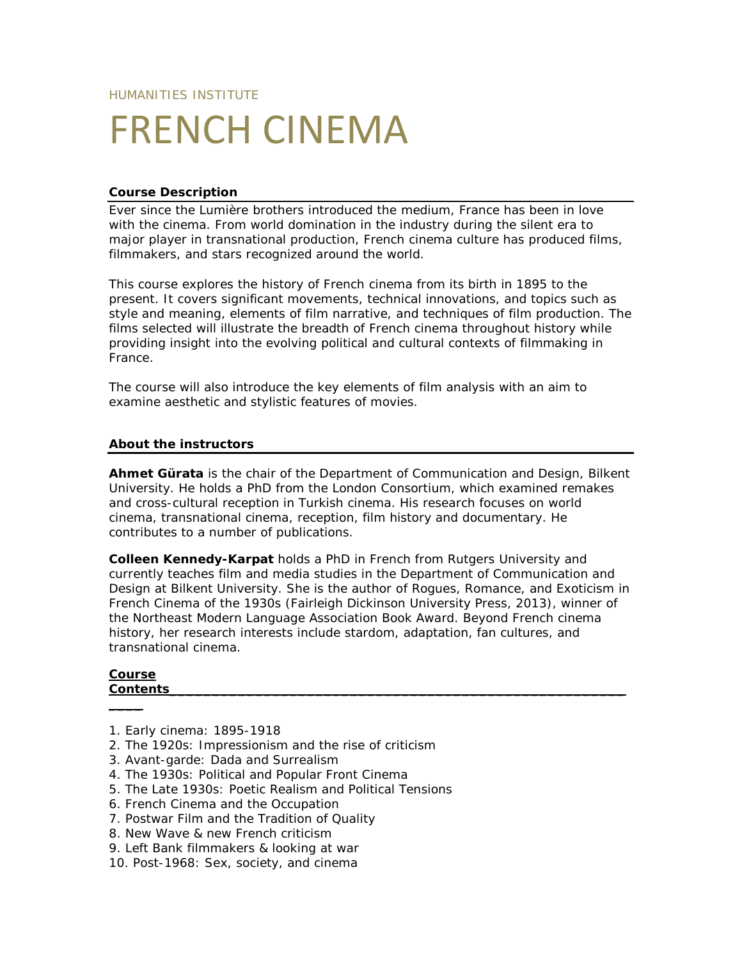# FRENCH CINEMA

## **Course Description**

Ever since the Lumière brothers introduced the medium, France has been in love with the cinema. From world domination in the industry during the silent era to major player in transnational production, French cinema culture has produced films, filmmakers, and stars recognized around the world.

This course explores the history of French cinema from its birth in 1895 to the present. It covers significant movements, technical innovations, and topics such as style and meaning, elements of film narrative, and techniques of film production. The films selected will illustrate the breadth of French cinema throughout history while providing insight into the evolving political and cultural contexts of filmmaking in France.

The course will also introduce the key elements of film analysis with an aim to examine aesthetic and stylistic features of movies.

#### **About the instructors**

**Ahmet Gürata** is the chair of the Department of Communication and Design, Bilkent University. He holds a PhD from the London Consortium, which examined remakes and cross-cultural reception in Turkish cinema. His research focuses on world cinema, transnational cinema, reception, film history and documentary. He contributes to a number of publications.

**Colleen Kennedy-Karpat** holds a PhD in French from Rutgers University and currently teaches film and media studies in the Department of Communication and Design at Bilkent University. She is the author of *Rogues, Romance, and Exoticism in French Cinema of the 1930s* (Fairleigh Dickinson University Press, 2013), winner of the Northeast Modern Language Association Book Award. Beyond French cinema history, her research interests include stardom, adaptation, fan cultures, and transnational cinema.

#### **Course Contents\_\_\_\_\_\_\_\_\_\_\_\_\_\_\_\_\_\_\_\_\_\_\_\_\_\_\_\_\_\_\_\_\_\_\_\_\_\_\_\_\_\_\_\_\_\_\_\_\_\_\_\_\_**

**\_\_\_\_**

- 1. Early cinema: 1895-1918
- 2. The 1920s: Impressionism and the rise of criticism
- 3. Avant-garde: Dada and Surrealism
- 4. The 1930s: Political and Popular Front Cinema
- 5. The Late 1930s: Poetic Realism and Political Tensions
- 6. French Cinema and the Occupation
- 7. Postwar Film and the Tradition of Quality
- 8. New Wave & new French criticism
- 9. Left Bank filmmakers & looking at war
- 10. Post-1968: Sex, society, and cinema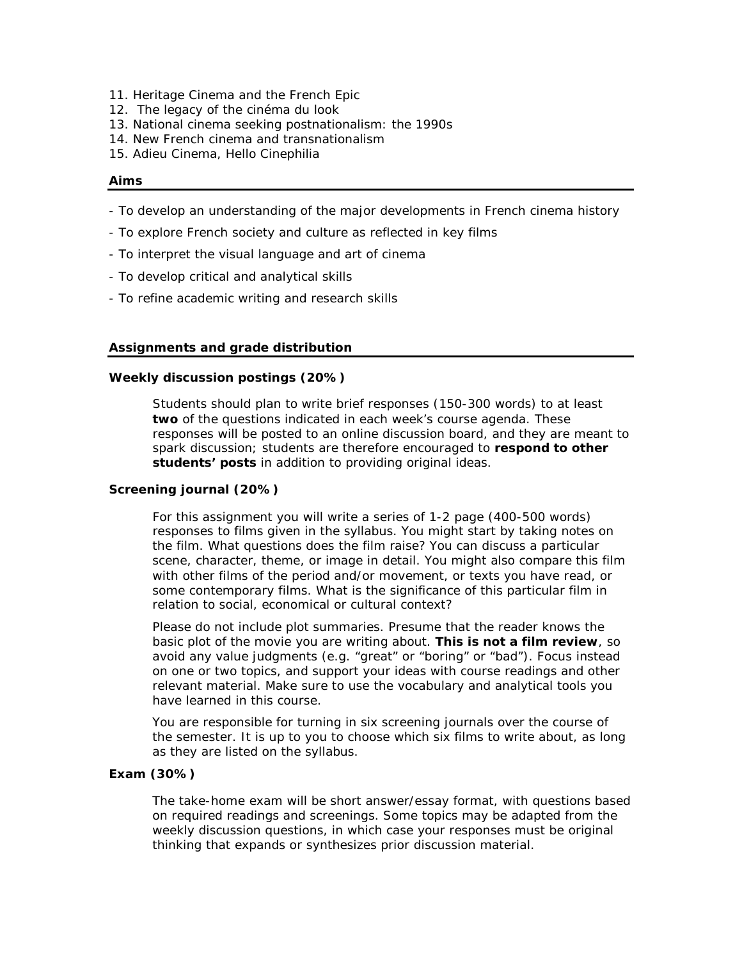- 11. Heritage Cinema and the French Epic
- 12. The legacy of the *cinéma du look*
- 13. National cinema seeking postnationalism: the 1990s
- 14. New French cinema and transnationalism
- 15. Adieu Cinema, Hello Cinephilia

#### **Aims**

- To develop an understanding of the major developments in French cinema history
- To explore French society and culture as reflected in key films
- To interpret the visual language and art of cinema
- To develop critical and analytical skills
- To refine academic writing and research skills

#### **Assignments and grade distribution**

#### *Weekly discussion postings (20%)*

Students should plan to write brief responses (150-300 words) to at least **two** of the questions indicated in each week's course agenda. These responses will be posted to an online discussion board, and they are meant to spark *discussion*; students are therefore encouraged to **respond to other students' posts** in addition to providing original ideas.

#### *Screening journal (20%)*

For this assignment you will write a series of 1-2 page (400-500 words) responses to films given in the syllabus. You might start by taking notes on the film. What questions does the film raise? You can discuss a particular scene, character, theme, or image in detail. You might also compare this film with other films of the period and/or movement, or texts you have read, or some contemporary films. What is the significance of this particular film in relation to social, economical or cultural context?

Please do not include plot summaries. Presume that the reader knows the basic plot of the movie you are writing about. **This is not a film review**, so avoid any value judgments (e.g. "great" or "boring" or "bad"). Focus instead on one or two topics, and support your ideas with course readings and other relevant material. Make sure to use the vocabulary and analytical tools you have learned in this course.

You are responsible for turning in six screening journals over the course of the semester. It is up to you to choose which six films to write about, as long as they are listed on the syllabus.

#### *Exam (30%)*

The take-home exam will be short answer/essay format, with questions based on required readings and screenings. Some topics may be adapted from the weekly discussion questions, in which case your responses must be original thinking that expands or synthesizes prior discussion material.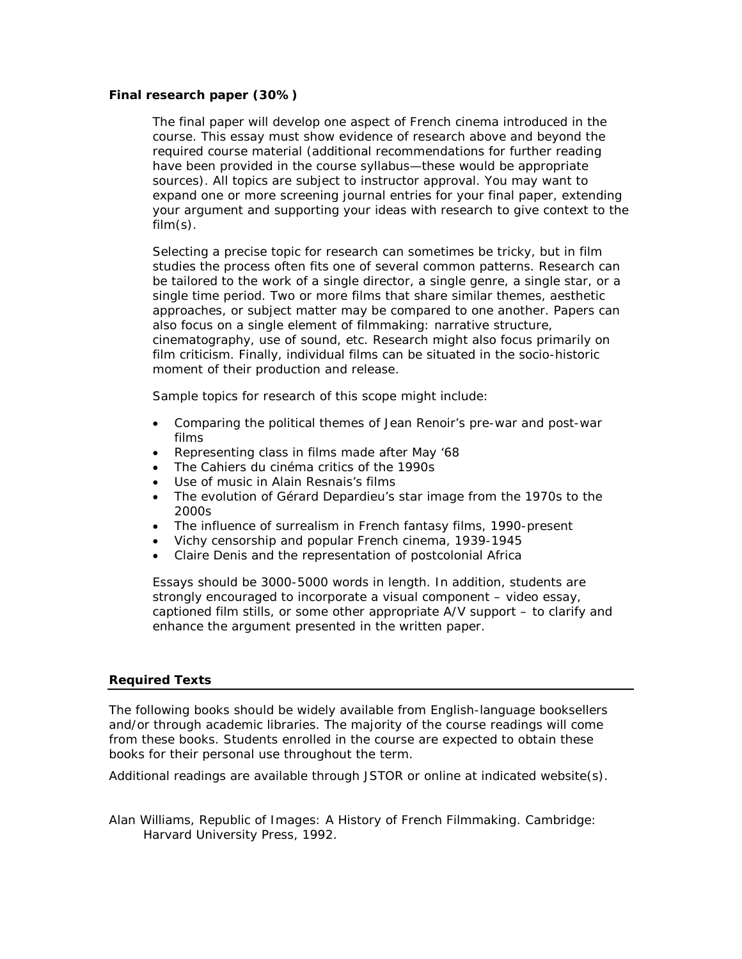## *Final research paper (30%)*

The final paper will develop one aspect of French cinema introduced in the course. This essay must show evidence of research above and beyond the required course material (additional recommendations for further reading have been provided in the course syllabus—these would be appropriate sources). All topics are subject to instructor approval. You may want to expand one or more screening journal entries for your final paper, extending your argument and supporting your ideas with research to give context to the  $film(s)$ .

Selecting a precise topic for research can sometimes be tricky, but in film studies the process often fits one of several common patterns. Research can be tailored to the work of a single director, a single genre, a single star, or a single time period. Two or more films that share similar themes, aesthetic approaches, or subject matter may be compared to one another. Papers can also focus on a single element of filmmaking: narrative structure, cinematography, use of sound, etc. Research might also focus primarily on film criticism. Finally, individual films can be situated in the socio-historic moment of their production and release.

Sample topics for research of this scope might include:

- Comparing the political themes of Jean Renoir's pre-war and post-war films
- Representing class in films made after May '68
- The *Cahiers du cinéma* critics of the 1990s
- Use of music in Alain Resnais's films
- The evolution of Gérard Depardieu's star image from the 1970s to the 2000s
- The influence of surrealism in French fantasy films, 1990-present
- Vichy censorship and popular French cinema, 1939-1945
- Claire Denis and the representation of postcolonial Africa

Essays should be 3000-5000 words in length. In addition, students are strongly encouraged to incorporate a visual component – video essay, captioned film stills, or some other appropriate A/V support – to clarify and enhance the argument presented in the written paper.

#### **Required Texts**

The following books should be widely available from English-language booksellers and/or through academic libraries. The majority of the course readings will come from these books. Students enrolled in the course are expected to obtain these books for their personal use throughout the term.

Additional readings are available through JSTOR or online at indicated website(s).

Alan Williams, *Republic of Images: A History of French Filmmaking*. Cambridge: Harvard University Press, 1992.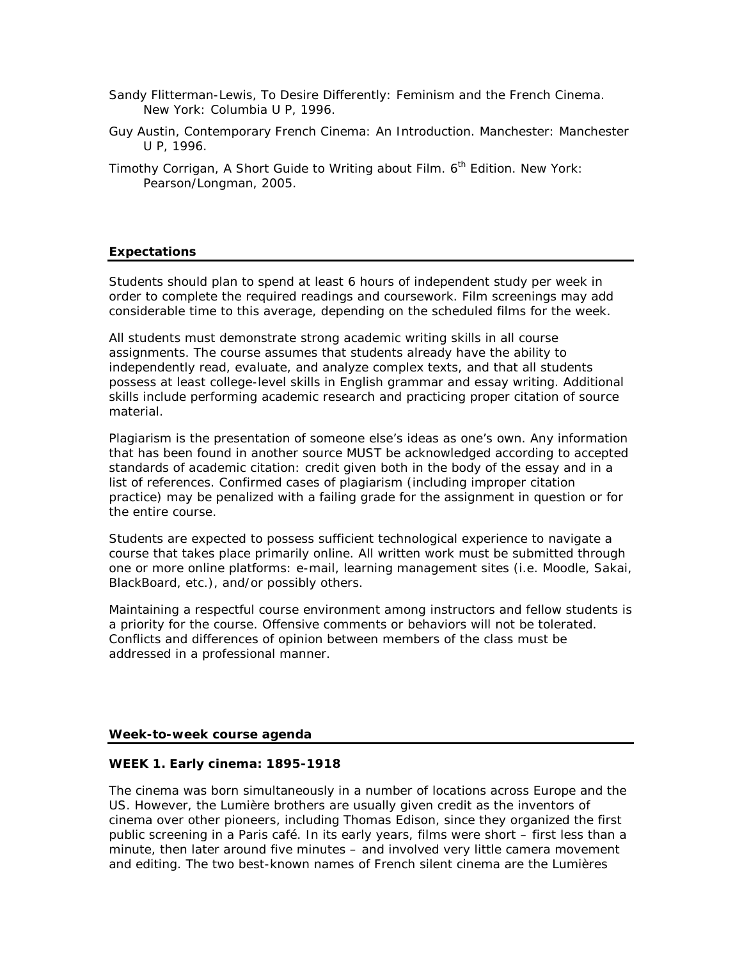- Sandy Flitterman-Lewis, *To Desire Differently: Feminism and the French Cinema*. New York: Columbia U P, 1996.
- Guy Austin, *Contemporary French Cinema: An Introduction*. Manchester: Manchester U P, 1996.
- Timothy Corrigan, *A Short Guide to Writing about Film.* 6th Edition. New York: Pearson/Longman, 2005.

## **Expectations**

Students should plan to spend at least 6 hours of independent study per week in order to complete the required readings and coursework. Film screenings may add considerable time to this average, depending on the scheduled films for the week.

All students must demonstrate strong academic writing skills in all course assignments. The course assumes that students already have the ability to independently read, evaluate, and analyze complex texts, and that all students possess at least college-level skills in English grammar and essay writing. Additional skills include performing academic research and practicing proper citation of source material.

Plagiarism is the presentation of someone else's ideas as one's own. Any information that has been found in another source MUST be acknowledged according to accepted standards of academic citation: credit given both in the body of the essay and in a list of references. Confirmed cases of plagiarism (including improper citation practice) may be penalized with a failing grade for the assignment in question or for the entire course.

Students are expected to possess sufficient technological experience to navigate a course that takes place primarily online. All written work must be submitted through one or more online platforms: e-mail, learning management sites (i.e. Moodle, Sakai, BlackBoard, etc.), and/or possibly others.

Maintaining a respectful course environment among instructors and fellow students is a priority for the course. Offensive comments or behaviors will not be tolerated. Conflicts and differences of opinion between members of the class must be addressed in a professional manner.

#### **Week-to-week course agenda**

#### **WEEK 1. Early cinema: 1895-1918**

The cinema was born simultaneously in a number of locations across Europe and the US. However, the Lumière brothers are usually given credit as the inventors of cinema over other pioneers, including Thomas Edison, since they organized the first public screening in a Paris café. In its early years, films were short – first less than a minute, then later around five minutes – and involved very little camera movement and editing. The two best-known names of French silent cinema are the Lumières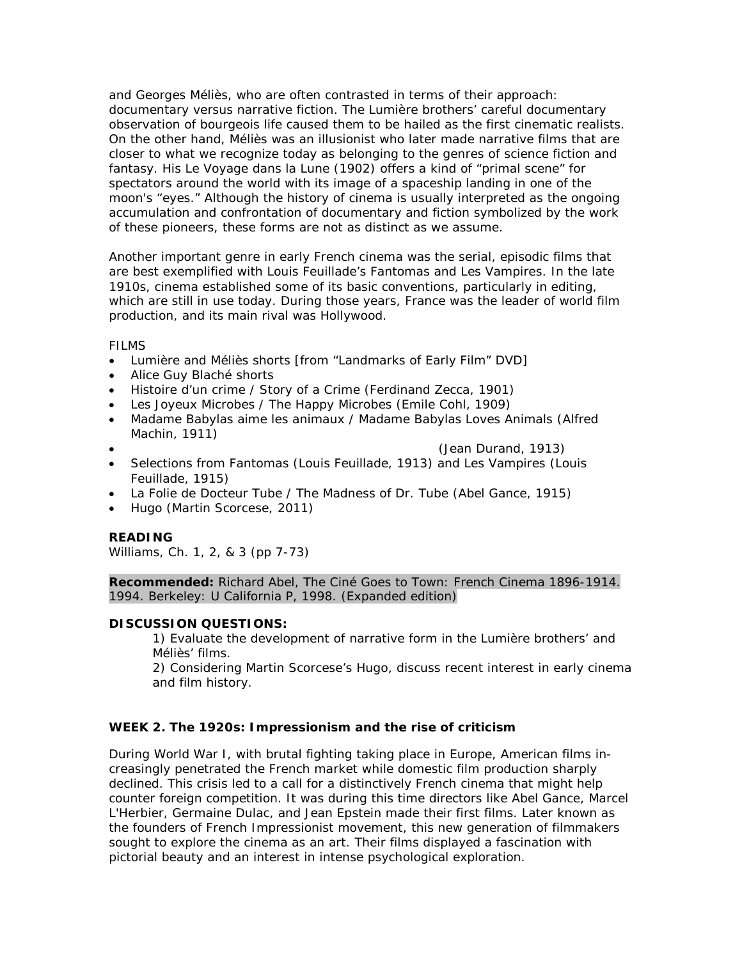and Georges Méliès, who are often contrasted in terms of their approach: documentary versus narrative fiction. The Lumière brothers' careful documentary observation of bourgeois life caused them to be hailed as the first cinematic realists. On the other hand, Méliès was an illusionist who later made narrative films that are closer to what we recognize today as belonging to the genres of science fiction and fantasy. His *Le Voyage dans la Lune* (1902) offers a kind of "primal scene" for spectators around the world with its image of a spaceship landing in one of the moon's "eyes." Although the history of cinema is usually interpreted as the ongoing accumulation and confrontation of documentary and fiction symbolized by the work of these pioneers, these forms are not as distinct as we assume.

Another important genre in early French cinema was the serial, episodic films that are best exemplified with Louis Feuillade's *Fantoma*s and *Les Vampires*. In the late 1910s, cinema established some of its basic conventions, particularly in editing, which are still in use today. During those years, France was the leader of world film production, and its main rival was Hollywood.

FILMS

- Lumière and Méliès shorts [from "Landmarks of Early Film" DVD]
- Alice Guy Blaché shorts
- *Histoire d'un crime / Story of a Crime* (Ferdinand Zecca, 1901)
- *Les Joyeux Microbes / The Happy Microbes* (Emile Cohl, 1909)
- *Madame Babylas aime les animaux / Madame Babylas Loves Animals* (Alfred Machin, 1911)
- 
- (Jean Durand, 1913)
- Selections from *Fantoma*s (Louis Feuillade, 1913) and *Les Vampires* (Louis Feuillade, 1915)
- *La Folie de Docteur Tube / The Madness of Dr. Tube* (Abel Gance, 1915)
- *Hugo* (Martin Scorcese, 2011)

#### **READING**

Williams, Ch. 1, 2, & 3 (pp 7-73)

**Recommended:** Richard Abel, *The Ciné Goes to Town: French Cinema 1896-1914*. 1994. Berkeley: U California P, 1998. (Expanded edition)

#### **DISCUSSION QUESTIONS:**

1) Evaluate the development of narrative form in the Lumière brothers' and Méliès' films.

2) Considering Martin Scorcese's *Hugo*, discuss recent interest in early cinema and film history.

## **WEEK 2. The 1920s: Impressionism and the rise of criticism**

During World War I, with brutal fighting taking place in Europe, American films increasingly penetrated the French market while domestic film production sharply declined. This crisis led to a call for a distinctively French cinema that might help counter foreign competition. It was during this time directors like Abel Gance, Marcel L'Herbier, Germaine Dulac, and Jean Epstein made their first films. Later known as the founders of French Impressionist movement, this new generation of filmmakers sought to explore the cinema as an art. Their films displayed a fascination with pictorial beauty and an interest in intense psychological exploration.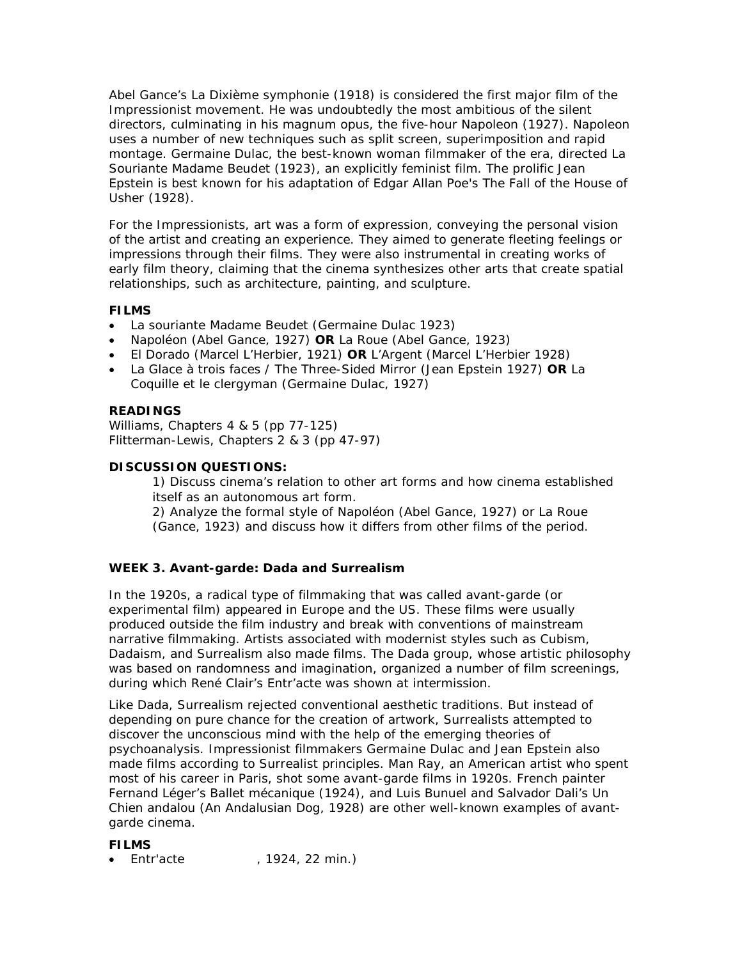Abel Gance's *La Dixième symphonie* (1918) is considered the first major film of the Impressionist movement. He was undoubtedly the most ambitious of the silent directors, culminating in his magnum opus, the five-hour *Napoleon* (1927). *Napoleon* uses a number of new techniques such as split screen, superimposition and rapid montage. Germaine Dulac, the best-known woman filmmaker of the era, directed *La Souriante Madame Beudet* (1923), an explicitly feminist film. The prolific Jean Epstein is best known for his adaptation of Edgar Allan Poe's *The Fall of the House of Usher* (1928).

For the Impressionists, art was a form of expression, conveying the personal vision of the artist and creating an experience. They aimed to generate fleeting feelings or impressions through their films. They were also instrumental in creating works of early film theory, claiming that the cinema synthesizes other arts that create spatial relationships, such as architecture, painting, and sculpture.

# **FILMS**

- *La souriante Madame Beudet* (Germaine Dulac 1923)
- *Napoléon* (Abel Gance, 1927) **OR** *La Roue* (Abel Gance, 1923)
- *El Dorado* (Marcel L'Herbier, 1921) **OR** *L'Argent* (Marcel L'Herbier 1928)
- *La Glace à trois faces / The Three-Sided Mirror* (Jean Epstein 1927) **OR** *La Coquille et le clergyman* (Germaine Dulac, 1927)

# **READINGS**

Williams, Chapters 4 & 5 (pp 77-125) Flitterman-Lewis, Chapters 2 & 3 (pp 47-97)

## **DISCUSSION QUESTIONS:**

1) Discuss cinema's relation to other art forms and how cinema established itself as an autonomous art form.

2) Analyze the formal style of *Napoléon* (Abel Gance, 1927) or *La Roue* (Gance, 1923) and discuss how it differs from other films of the period.

# **WEEK 3. Avant-garde: Dada and Surrealism**

In the 1920s, a radical type of filmmaking that was called avant-garde (or experimental film) appeared in Europe and the US. These films were usually produced outside the film industry and break with conventions of mainstream narrative filmmaking. Artists associated with modernist styles such as Cubism, Dadaism, and Surrealism also made films. The Dada group, whose artistic philosophy was based on randomness and imagination, organized a number of film screenings, during which René Clair's *Entr'acte* was shown at intermission.

Like Dada, Surrealism rejected conventional aesthetic traditions. But instead of depending on pure chance for the creation of artwork, Surrealists attempted to discover the unconscious mind with the help of the emerging theories of psychoanalysis. Impressionist filmmakers Germaine Dulac and Jean Epstein also made films according to Surrealist principles. Man Ray, an American artist who spent most of his career in Paris, shot some avant-garde films in 1920s. French painter Fernand Léger's *Ballet mécanique* (1924), and Luis Bunuel and Salvador Dali's *Un Chien andalou (An Andalusian Dog*, 1928) are other well-known examples of avantgarde cinema.

## **FILMS**

• *Entr'acte* , 1924, 22 min.)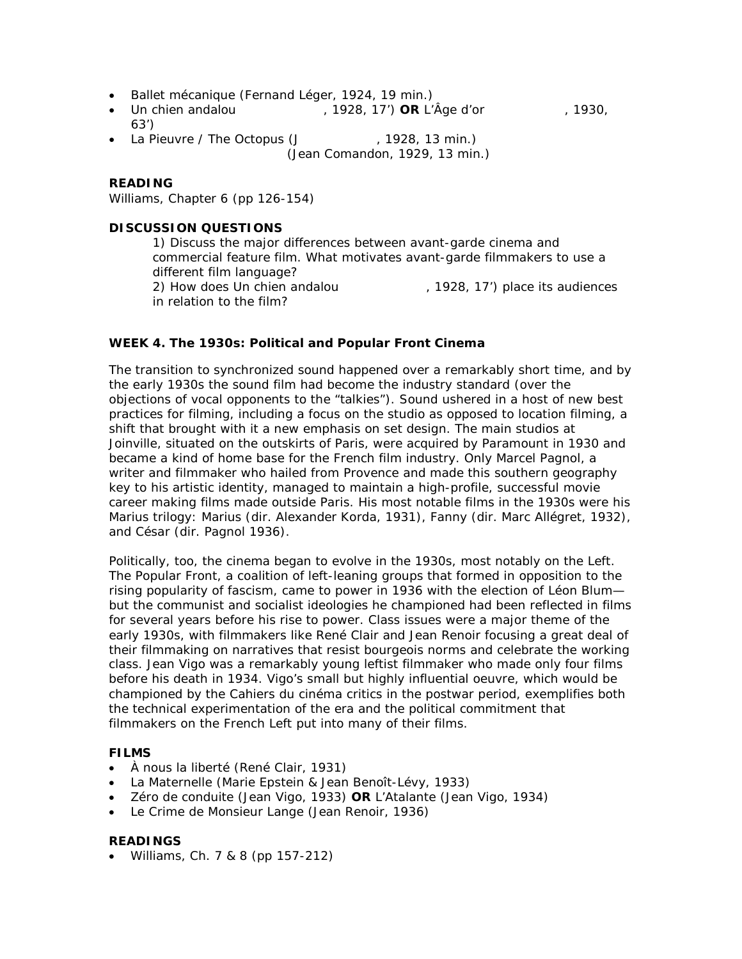- *Ballet mécanique* (Fernand Léger, 1924, 19 min.)
- *Un chien andalou* , 1928, 17') **OR** *L'Âge d'or* , 1930, 63')
- *La Pieuvre / The Octopus* (J , 1928, 13 min.) (Jean Comandon, 1929, 13 min.)

#### **READING**

Williams, Chapter 6 (pp 126-154)

## **DISCUSSION QUESTIONS**

1) Discuss the major differences between avant-garde cinema and commercial feature film. What motivates avant-garde filmmakers to use a different film language? 2) How does *Un chien andalou* , 1928, 17') place its audiences in relation to the film?

## **WEEK 4. The 1930s: Political and Popular Front Cinema**

The transition to synchronized sound happened over a remarkably short time, and by the early 1930s the sound film had become the industry standard (over the objections of vocal opponents to the "talkies"). Sound ushered in a host of new best practices for filming, including a focus on the studio as opposed to location filming, a shift that brought with it a new emphasis on set design. The main studios at Joinville, situated on the outskirts of Paris, were acquired by Paramount in 1930 and became a kind of home base for the French film industry. Only Marcel Pagnol, a writer and filmmaker who hailed from Provence and made this southern geography key to his artistic identity, managed to maintain a high-profile, successful movie career making films made outside Paris. His most notable films in the 1930s were his *Marius* trilogy: *Marius* (dir. Alexander Korda, 1931), *Fanny* (dir. Marc Allégret, 1932), and *César* (dir. Pagnol 1936).

Politically, too, the cinema began to evolve in the 1930s, most notably on the Left. The Popular Front, a coalition of left-leaning groups that formed in opposition to the rising popularity of fascism, came to power in 1936 with the election of Léon Blum but the communist and socialist ideologies he championed had been reflected in films for several years before his rise to power. Class issues were a major theme of the early 1930s, with filmmakers like René Clair and Jean Renoir focusing a great deal of their filmmaking on narratives that resist bourgeois norms and celebrate the working class. Jean Vigo was a remarkably young leftist filmmaker who made only four films before his death in 1934. Vigo's small but highly influential *oeuvre*, which would be championed by the *Cahiers du cinéma* critics in the postwar period, exemplifies both the technical experimentation of the era and the political commitment that filmmakers on the French Left put into many of their films.

## **FILMS**

- *À nous la liberté* (René Clair, 1931)
- *La Maternelle* (Marie Epstein & Jean Benoît-Lévy, 1933)
- *Zéro de conduite* (Jean Vigo, 1933) **OR** *L'Atalante* (Jean Vigo, 1934)
- *Le Crime de Monsieur Lange* (Jean Renoir, 1936)

#### **READINGS**

• Williams, Ch. 7 & 8 (pp 157-212)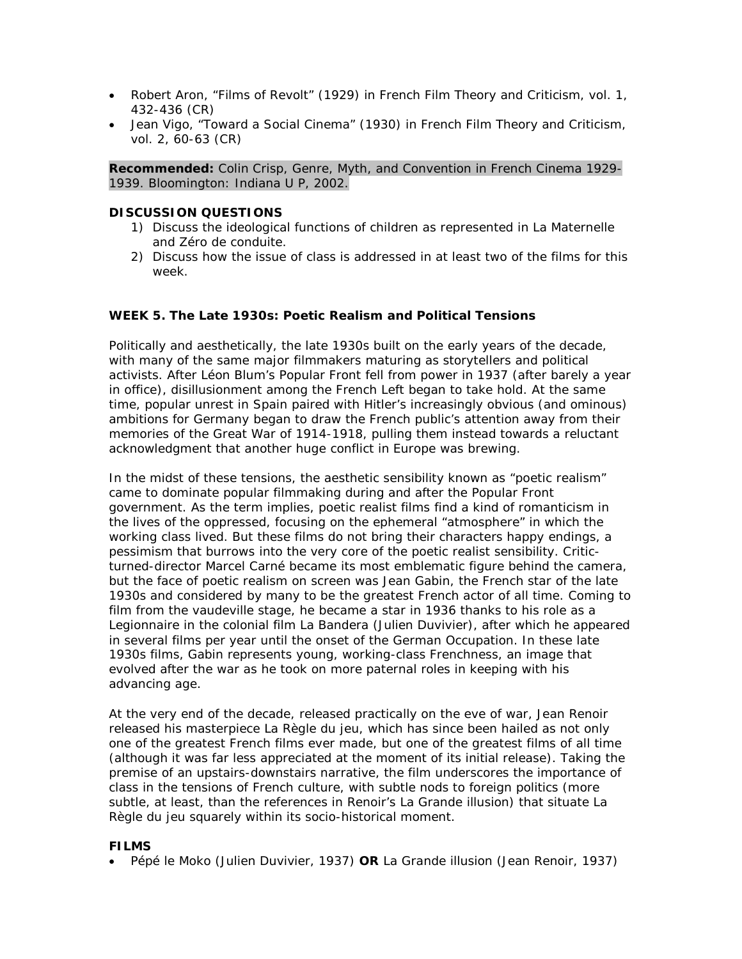- Robert Aron, "Films of Revolt" (1929) in French Film Theory and Criticism, vol. 1, 432-436 (CR)
- Jean Vigo, "Toward a Social Cinema" (1930) in French Film Theory and Criticism, vol. 2, 60-63 (CR)

**Recommended:** Colin Crisp, *Genre, Myth, and Convention in French Cinema 1929- 1939.* Bloomington: Indiana U P, 2002.

## **DISCUSSION QUESTIONS**

- 1) Discuss the ideological functions of children as represented in *La Maternelle* and *Zéro de conduite*.
- 2) Discuss how the issue of class is addressed in at least two of the films for this week.

# **WEEK 5. The Late 1930s: Poetic Realism and Political Tensions**

Politically and aesthetically, the late 1930s built on the early years of the decade, with many of the same major filmmakers maturing as storytellers and political activists. After Léon Blum's Popular Front fell from power in 1937 (after barely a year in office), disillusionment among the French Left began to take hold. At the same time, popular unrest in Spain paired with Hitler's increasingly obvious (and ominous) ambitions for Germany began to draw the French public's attention away from their memories of the Great War of 1914-1918, pulling them instead towards a reluctant acknowledgment that another huge conflict in Europe was brewing.

In the midst of these tensions, the aesthetic sensibility known as "poetic realism" came to dominate popular filmmaking during and after the Popular Front government. As the term implies, poetic realist films find a kind of romanticism in the lives of the oppressed, focusing on the ephemeral "atmosphere" in which the working class lived. But these films do not bring their characters happy endings, a pessimism that burrows into the very core of the poetic realist sensibility. Criticturned-director Marcel Carné became its most emblematic figure behind the camera, but the face of poetic realism on screen was Jean Gabin, *the* French star of the late 1930s and considered by many to be the greatest French actor of all time. Coming to film from the vaudeville stage, he became a star in 1936 thanks to his role as a Legionnaire in the colonial film *La Bandera* (Julien Duvivier), after which he appeared in several films per year until the onset of the German Occupation. In these late 1930s films, Gabin represents young, working-class Frenchness, an image that evolved after the war as he took on more paternal roles in keeping with his advancing age.

At the very end of the decade, released practically on the eve of war, Jean Renoir released his masterpiece *La Règle du jeu*, which has since been hailed as not only one of the greatest French films ever made, but one of the greatest films of all time (although it was far less appreciated at the moment of its initial release). Taking the premise of an upstairs-downstairs narrative, the film underscores the importance of class in the tensions of French culture, with subtle nods to foreign politics (more subtle, at least, than the references in Renoir's *La Grande illusion*) that situate *La Règle du jeu* squarely within its socio-historical moment.

#### **FILMS**

• *Pépé le Moko* (Julien Duvivier, 1937) **OR** *La Grande illusion* (Jean Renoir, 1937)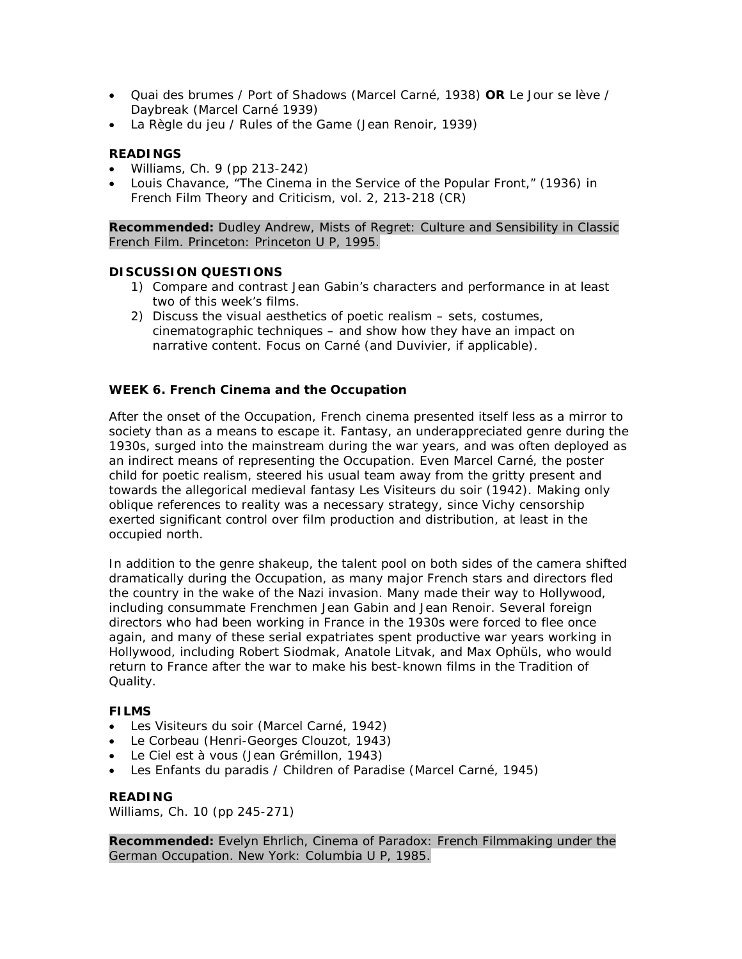- *Quai des brumes / Port of Shadows* (Marcel Carné, 1938) **OR** *Le Jour se lève / Daybreak* (Marcel Carné 1939)
- *La Règle du jeu / Rules of the Game* (Jean Renoir, 1939)

# **READINGS**

- Williams, Ch. 9 (pp 213-242)
- Louis Chavance, "The Cinema in the Service of the Popular Front," (1936) in French Film Theory and Criticism, vol. 2, 213-218 (CR)

**Recommended:** Dudley Andrew, *Mists of Regret: Culture and Sensibility in Classic French Film*. Princeton: Princeton U P, 1995.

## **DISCUSSION QUESTIONS**

- 1) Compare and contrast Jean Gabin's characters and performance in at least two of this week's films.
- 2) Discuss the visual aesthetics of poetic realism sets, costumes, cinematographic techniques – and show how they have an impact on narrative content. Focus on Carné (and Duvivier, if applicable).

# **WEEK 6. French Cinema and the Occupation**

After the onset of the Occupation, French cinema presented itself less as a mirror to society than as a means to escape it. Fantasy, an underappreciated genre during the 1930s, surged into the mainstream during the war years, and was often deployed as an indirect means of representing the Occupation. Even Marcel Carné, the poster child for poetic realism, steered his usual team away from the gritty present and towards the allegorical medieval fantasy *Les Visiteurs du soir* (1942). Making only oblique references to reality was a necessary strategy, since Vichy censorship exerted significant control over film production and distribution, at least in the occupied north.

In addition to the genre shakeup, the talent pool on both sides of the camera shifted dramatically during the Occupation, as many major French stars and directors fled the country in the wake of the Nazi invasion. Many made their way to Hollywood, including consummate Frenchmen Jean Gabin and Jean Renoir. Several foreign directors who had been working in France in the 1930s were forced to flee once again, and many of these serial expatriates spent productive war years working in Hollywood, including Robert Siodmak, Anatole Litvak, and Max Ophüls, who would return to France after the war to make his best-known films in the Tradition of Quality.

## **FILMS**

- *Les Visiteurs du soir* (Marcel Carné, 1942)
- *Le Corbeau* (Henri-Georges Clouzot, 1943)
- *Le Ciel est à vous* (Jean Grémillon, 1943)
- *Les Enfants du paradis / Children of Paradise* (Marcel Carné, 1945)

## **READING**

Williams, Ch. 10 (pp 245-271)

**Recommended:** Evelyn Ehrlich, *Cinema of Paradox: French Filmmaking under the German Occupation*. New York: Columbia U P, 1985.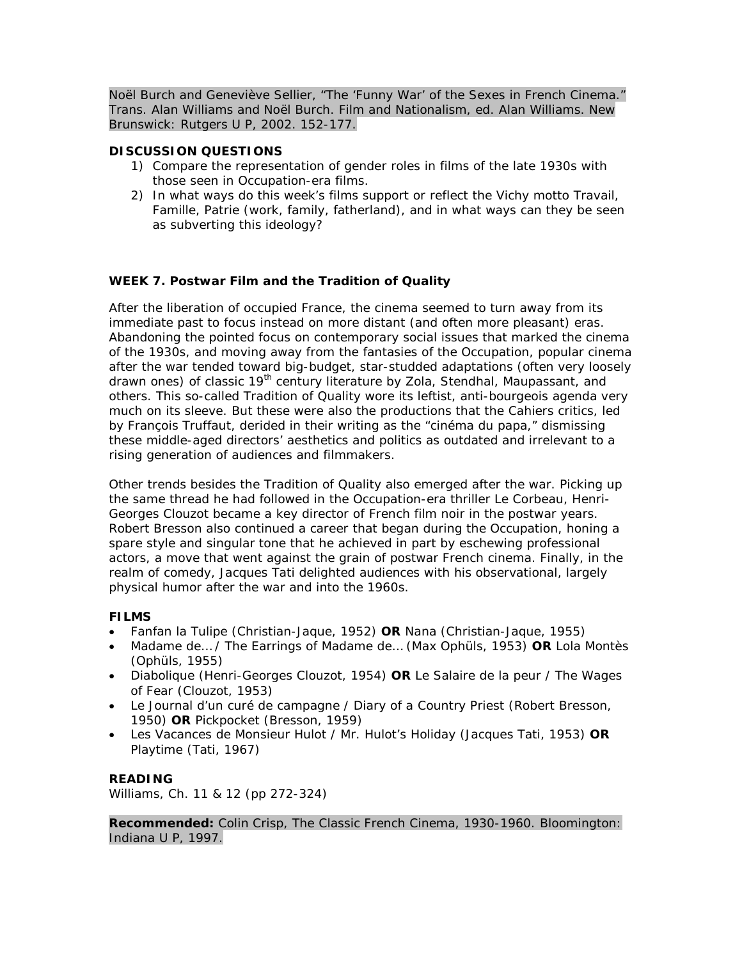Noël Burch and Geneviève Sellier, "The 'Funny War' of the Sexes in French Cinema." Trans. Alan Williams and Noël Burch. *Film and Nationalism*, ed. Alan Williams. New Brunswick: Rutgers U P, 2002. 152-177.

## **DISCUSSION QUESTIONS**

- 1) Compare the representation of gender roles in films of the late 1930s with those seen in Occupation-era films.
- 2) In what ways do this week's films support or reflect the Vichy motto *Travail, Famille, Patrie* (work, family, fatherland), and in what ways can they be seen as subverting this ideology?

# **WEEK 7. Postwar Film and the Tradition of Quality**

After the liberation of occupied France, the cinema seemed to turn away from its immediate past to focus instead on more distant (and often more pleasant) eras. Abandoning the pointed focus on contemporary social issues that marked the cinema of the 1930s, and moving away from the fantasies of the Occupation, popular cinema after the war tended toward big-budget, star-studded adaptations (often very loosely drawn ones) of classic 19<sup>th</sup> century literature by Zola, Stendhal, Maupassant, and others. This so-called Tradition of Quality wore its leftist, anti-bourgeois agenda very much on its sleeve. But these were also the productions that the *Cahiers* critics, led by François Truffaut, derided in their writing as the "cinéma du papa," dismissing these middle-aged directors' aesthetics and politics as outdated and irrelevant to a rising generation of audiences and filmmakers.

Other trends besides the Tradition of Quality also emerged after the war. Picking up the same thread he had followed in the Occupation-era thriller *Le Corbeau*, Henri-Georges Clouzot became a key director of French *film noir* in the postwar years. Robert Bresson also continued a career that began during the Occupation, honing a spare style and singular tone that he achieved in part by eschewing professional actors, a move that went against the grain of postwar French cinema. Finally, in the realm of comedy, Jacques Tati delighted audiences with his observational, largely physical humor after the war and into the 1960s.

## **FILMS**

- *Fanfan la Tulipe* (Christian-Jaque, 1952) **OR** *Nana* (Christian-Jaque, 1955)
- *Madame de… / The Earrings of Madame de…* (Max Ophüls, 1953) **OR** *Lola Montès* (Ophüls, 1955)
- *Diabolique* (Henri-Georges Clouzot, 1954) **OR** *Le Salaire de la peur / The Wages of Fear* (Clouzot, 1953)
- *Le Journal d'un curé de campagne / Diary of a Country Priest* (Robert Bresson, 1950) **OR** *Pickpocket* (Bresson, 1959)
- *Les Vacances de Monsieur Hulot / Mr. Hulot's Holiday* (Jacques Tati, 1953) **OR** *Playtime* (Tati, 1967)

# **READING**

Williams, Ch. 11 & 12 (pp 272-324)

**Recommended:** Colin Crisp, *The Classic French Cinema, 1930-1960*. Bloomington: Indiana U P, 1997.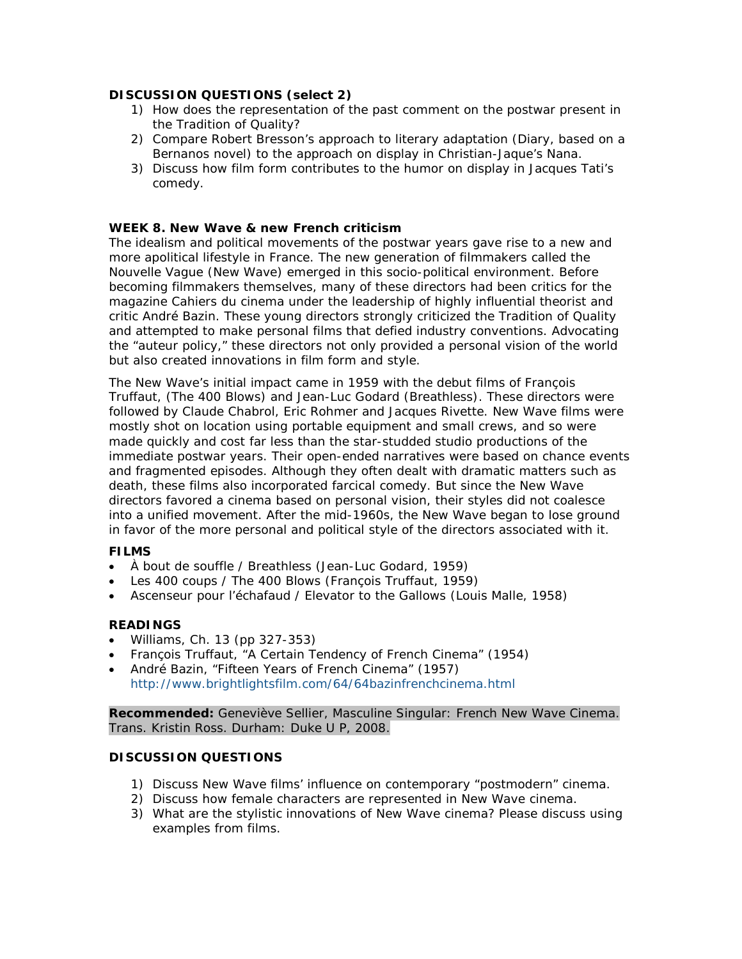## **DISCUSSION QUESTIONS (select 2)**

- 1) How does the representation of the past comment on the postwar present in the Tradition of Quality?
- 2) Compare Robert Bresson's approach to literary adaptation (*Diary*, based on a Bernanos novel) to the approach on display in Christian-Jaque's *Nana*.
- 3) Discuss how film form contributes to the humor on display in Jacques Tati's comedy.

## **WEEK 8. New Wave & new French criticism**

The idealism and political movements of the postwar years gave rise to a new and more apolitical lifestyle in France. The new generation of filmmakers called the *Nouvelle Vague* (New Wave) emerged in this socio-political environment. Before becoming filmmakers themselves, many of these directors had been critics for the magazine *Cahiers du cinema* under the leadership of highly influential theorist and critic André Bazin. These young directors strongly criticized the Tradition of Quality and attempted to make personal films that defied industry conventions. Advocating the "auteur policy," these directors not only provided a personal vision of the world but also created innovations in film form and style.

The New Wave's initial impact came in 1959 with the debut films of François Truffaut, (*The 400 Blows*) and Jean-Luc Godard (*Breathless*). These directors were followed by Claude Chabrol, Eric Rohmer and Jacques Rivette. New Wave films were mostly shot on location using portable equipment and small crews, and so were made quickly and cost far less than the star-studded studio productions of the immediate postwar years. Their open-ended narratives were based on chance events and fragmented episodes. Although they often dealt with dramatic matters such as death, these films also incorporated farcical comedy. But since the New Wave directors favored a cinema based on personal vision, their styles did not coalesce into a unified movement. After the mid-1960s, the New Wave began to lose ground in favor of the more personal and political style of the directors associated with it.

## **FILMS**

- *À bout de souffle / Breathless* (Jean-Luc Godard, 1959)
- *Les 400 coups / The 400 Blows* (François Truffaut, 1959)
- *Ascenseur pour l'échafaud / Elevator to the Gallows* (Louis Malle, 1958)

## **READINGS**

- Williams, Ch. 13 (pp 327-353)
- François Truffaut, "A Certain Tendency of French Cinema" (1954)
- André Bazin, "Fifteen Years of French Cinema" (1957) <http://www.brightlightsfilm.com/64/64bazinfrenchcinema.html>

**Recommended:** Geneviève Sellier, *Masculine Singular: French New Wave Cinema*. Trans. Kristin Ross. Durham: Duke U P, 2008.

#### **DISCUSSION QUESTIONS**

- 1) Discuss New Wave films' influence on contemporary "postmodern" cinema.
- 2) Discuss how female characters are represented in New Wave cinema.
- 3) What are the stylistic innovations of New Wave cinema? Please discuss using examples from films.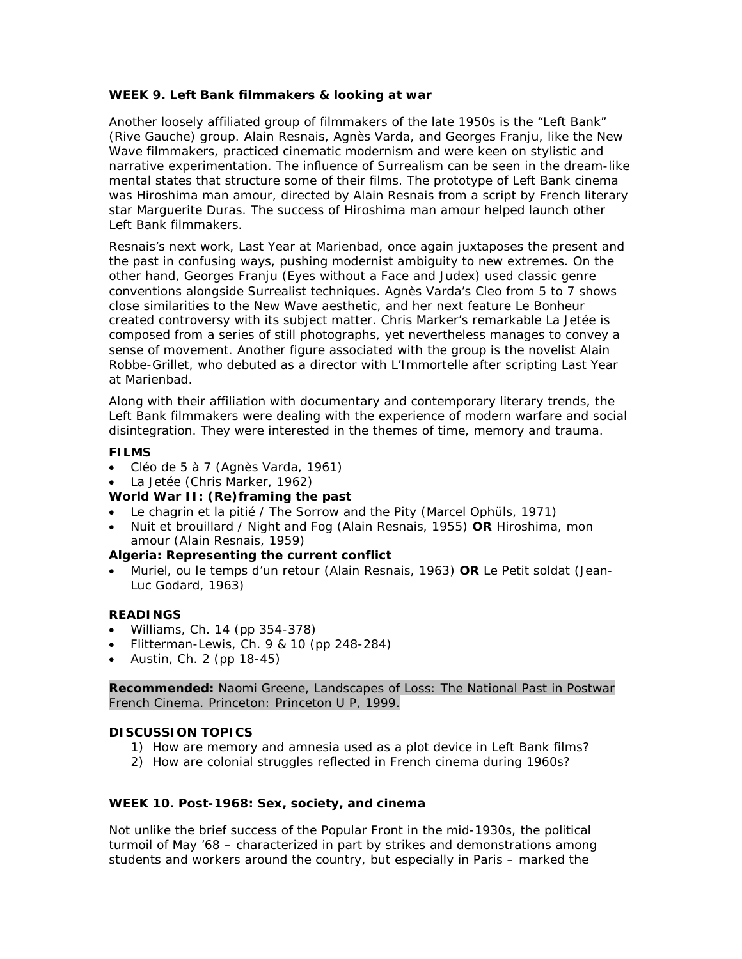## **WEEK 9. Left Bank filmmakers & looking at war**

Another loosely affiliated group of filmmakers of the late 1950s is the "Left Bank" (*Rive Gauche*) group. Alain Resnais, Agnès Varda, and Georges Franju, like the New Wave filmmakers, practiced cinematic modernism and were keen on stylistic and narrative experimentation. The influence of Surrealism can be seen in the dream-like mental states that structure some of their films. The prototype of Left Bank cinema was *Hiroshima man amour,* directed by Alain Resnais from a script by French literary star Marguerite Duras. The success of *Hiroshima man amour* helped launch other Left Bank filmmakers.

Resnais's next work, *Last Year at Marienbad,* once again juxtaposes the present and the past in confusing ways, pushing modernist ambiguity to new extremes. On the other hand, Georges Franju (*Eyes without a Face* and *Judex*) used classic genre conventions alongside Surrealist techniques. Agnès Varda's *Cleo from* 5 *to* 7 shows close similarities to the New Wave aesthetic, and her next feature *Le Bonheur* created controversy with its subject matter. Chris Marker's remarkable *La Jetée* is composed from a series of still photographs, yet nevertheless manages to convey a sense of movement. Another figure associated with the group is the novelist Alain Robbe-Grillet, who debuted as a director with *L'Immortelle* after scripting *Last Year at Marienbad*.

Along with their affiliation with documentary and contemporary literary trends, the Left Bank filmmakers were dealing with the experience of modern warfare and social disintegration. They were interested in the themes of time, memory and trauma.

## **FILMS**

- *Cléo de 5 à 7* (Agnès Varda, 1961)
- *La Jetée* (Chris Marker, 1962)
- **World War II: (Re)framing the past**
- *Le chagrin et la pitié / The Sorrow and the Pity* (Marcel Ophüls, 1971)
- *Nuit et brouillard / Night and Fog* (Alain Resnais, 1955) **OR** *Hiroshima, mon amour* (Alain Resnais, 1959)

## **Algeria: Representing the current conflict**

• *Muriel, ou le temps d'un retour* (Alain Resnais, 1963) **OR** *Le Petit soldat* (Jean-Luc Godard, 1963)

## **READINGS**

- Williams, Ch. 14 (pp 354-378)
- Flitterman-Lewis, Ch. 9 & 10 (pp 248-284)
- Austin, Ch. 2 (pp 18-45)

**Recommended:** Naomi Greene, *Landscapes of Loss: The National Past in Postwar French Cinema*. Princeton: Princeton U P, 1999.

## **DISCUSSION TOPICS**

- 1) How are memory and amnesia used as a plot device in Left Bank films?
- 2) How are colonial struggles reflected in French cinema during 1960s?

#### **WEEK 10. Post-1968: Sex, society, and cinema**

Not unlike the brief success of the Popular Front in the mid-1930s, the political turmoil of May '68 – characterized in part by strikes and demonstrations among students and workers around the country, but especially in Paris – marked the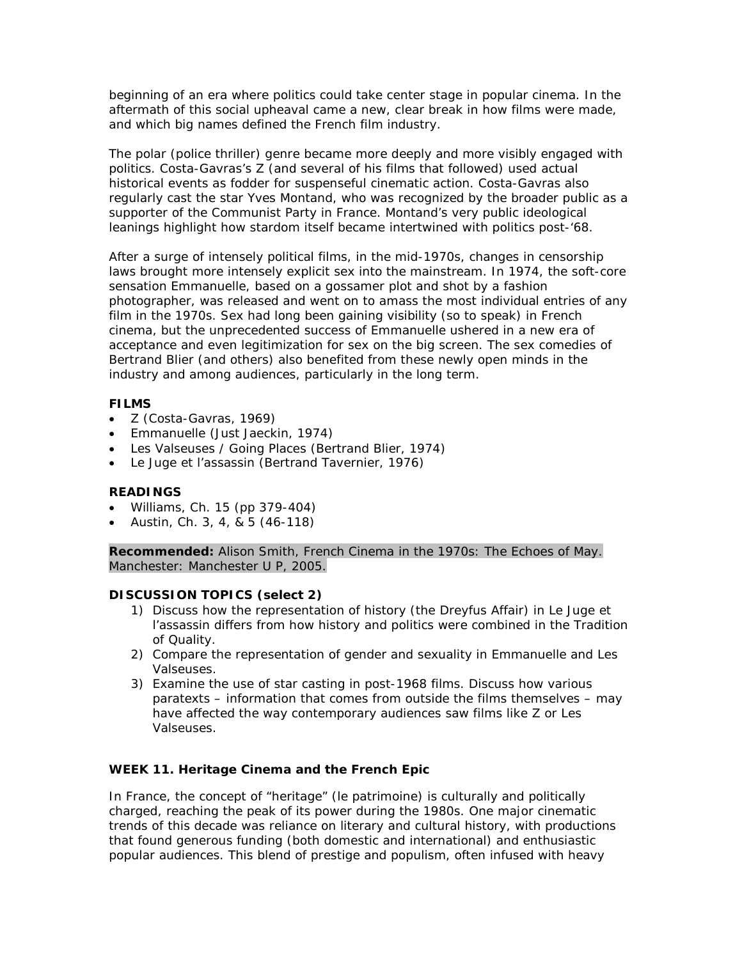beginning of an era where politics could take center stage in popular cinema. In the aftermath of this social upheaval came a new, clear break in how films were made, and which big names defined the French film industry.

The *polar* (police thriller) genre became more deeply and more visibly engaged with politics. Costa-Gavras's *Z* (and several of his films that followed) used actual historical events as fodder for suspenseful cinematic action. Costa-Gavras also regularly cast the star Yves Montand, who was recognized by the broader public as a supporter of the Communist Party in France. Montand's very public ideological leanings highlight how stardom itself became intertwined with politics post-'68.

After a surge of intensely political films, in the mid-1970s, changes in censorship laws brought more intensely explicit sex into the mainstream. In 1974, the soft-core sensation *Emmanuelle*, based on a gossamer plot and shot by a fashion photographer, was released and went on to amass the most individual entries of any film in the 1970s. Sex had long been gaining visibility (so to speak) in French cinema, but the unprecedented success of *Emmanuelle* ushered in a new era of acceptance and even legitimization for sex on the big screen. The sex comedies of Bertrand Blier (and others) also benefited from these newly open minds in the industry and among audiences, particularly in the long term.

## **FILMS**

- *Z* (Costa-Gavras, 1969)
- *Emmanuelle* (Just Jaeckin, 1974)
- *Les Valseuses / Going Places* (Bertrand Blier, 1974)
- *Le Juge et l'assassin* (Bertrand Tavernier, 1976)

# **READINGS**

- Williams, Ch. 15 (pp 379-404)
- Austin, Ch. 3, 4, & 5 (46-118)

**Recommended:** Alison Smith, *French Cinema in the 1970s: The Echoes of May*. Manchester: Manchester U P, 2005.

# **DISCUSSION TOPICS (select 2)**

- 1) Discuss how the representation of history (the Dreyfus Affair) in *Le Juge et l'assassin* differs from how history and politics were combined in the Tradition of Quality.
- 2) Compare the representation of gender and sexuality in *Emmanuelle* and *Les Valseuses.*
- 3) Examine the use of star casting in post-1968 films. Discuss how various paratexts – information that comes from outside the films themselves – may have affected the way contemporary audiences saw films like *Z* or *Les Valseuses*.

# **WEEK 11. Heritage Cinema and the French Epic**

In France, the concept of "heritage" (*le patrimoine*) is culturally and politically charged, reaching the peak of its power during the 1980s. One major cinematic trends of this decade was reliance on literary and cultural history, with productions that found generous funding (both domestic and international) and enthusiastic popular audiences. This blend of prestige and populism, often infused with heavy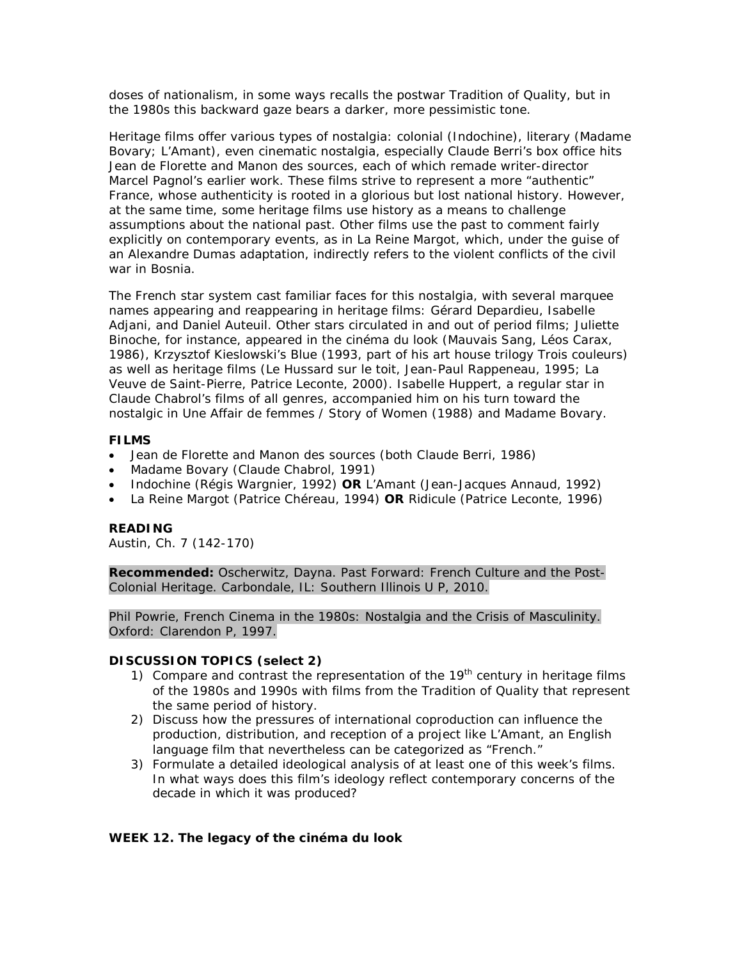doses of nationalism, in some ways recalls the postwar Tradition of Quality, but in the 1980s this backward gaze bears a darker, more pessimistic tone.

Heritage films offer various types of nostalgia: colonial (*Indochine*), literary (*Madame Bovary*; *L'Amant*), even cinematic nostalgia, especially Claude Berri's box office hits *Jean de Florette* and *Manon des sources*, each of which remade writer-director Marcel Pagnol's earlier work. These films strive to represent a more "authentic" France, whose authenticity is rooted in a glorious but lost national history. However, at the same time, some heritage films use history as a means to challenge assumptions about the national past. Other films use the past to comment fairly explicitly on contemporary events, as in *La Reine Margot*, which, under the guise of an Alexandre Dumas adaptation, indirectly refers to the violent conflicts of the civil war in Bosnia.

The French star system cast familiar faces for this nostalgia, with several marquee names appearing and reappearing in heritage films: Gérard Depardieu, Isabelle Adjani, and Daniel Auteuil. Other stars circulated in and out of period films; Juliette Binoche, for instance, appeared in the *cinéma du look* (*Mauvais Sang*, Léos Carax, 1986), Krzysztof Kieslowski's *Blue* (1993, part of his art house trilogy *Trois couleurs*) as well as heritage films (*Le Hussard sur le toit*, Jean-Paul Rappeneau, 1995; *La Veuve de Saint-Pierre*, Patrice Leconte, 2000). Isabelle Huppert, a regular star in Claude Chabrol's films of all genres, accompanied him on his turn toward the nostalgic in *Une Affair de femmes / Story of Women* (1988) and *Madame Bovary*.

#### **FILMS**

- *Jean de Florette* and *Manon des sources* (both Claude Berri, 1986)
- *Madame Bovary* (Claude Chabrol, 1991)
- *Indochine* (Régis Wargnier, 1992) **OR** *L'Amant* (Jean-Jacques Annaud, 1992)
- *La Reine Margot* (Patrice Chéreau, 1994) **OR** *Ridicule* (Patrice Leconte, 1996)

#### **READING**

Austin, Ch. 7 (142-170)

**Recommended:** Oscherwitz, Dayna. *Past Forward: French Culture and the Post-Colonial Heritage.* Carbondale, IL: Southern Illinois U P, 2010.

Phil Powrie, *French Cinema in the 1980s: Nostalgia and the Crisis of Masculinity*. Oxford: Clarendon P, 1997.

#### **DISCUSSION TOPICS (select 2)**

- 1) Compare and contrast the representation of the  $19<sup>th</sup>$  century in heritage films of the 1980s and 1990s with films from the Tradition of Quality that represent the same period of history.
- 2) Discuss how the pressures of international coproduction can influence the production, distribution, and reception of a project like *L'Amant*, an English language film that nevertheless can be categorized as "French."
- 3) Formulate a detailed ideological analysis of at least one of this week's films. In what ways does this film's ideology reflect contemporary concerns of the decade in which it was produced?

#### **WEEK 12. The legacy of the** *cinéma du look*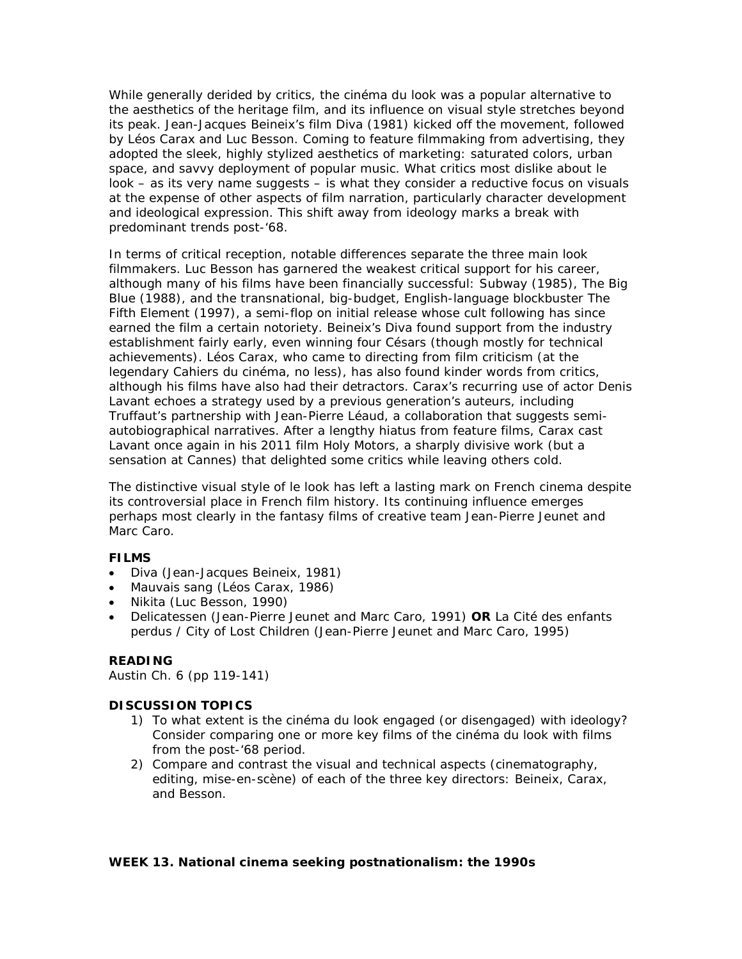While generally derided by critics, the *cinéma du look* was a popular alternative to the aesthetics of the heritage film, and its influence on visual style stretches beyond its peak. Jean-Jacques Beineix's film *Diva* (1981) kicked off the movement, followed by Léos Carax and Luc Besson. Coming to feature filmmaking from advertising, they adopted the sleek, highly stylized aesthetics of marketing: saturated colors, urban space, and savvy deployment of popular music. What critics most dislike about *le look* – as its very name suggests – is what they consider a reductive focus on visuals at the expense of other aspects of film narration, particularly character development and ideological expression. This shift away from ideology marks a break with predominant trends post-'68.

In terms of critical reception, notable differences separate the three main *look* filmmakers. Luc Besson has garnered the weakest critical support for his career, although many of his films have been financially successful: *Subway* (1985), *The Big Blue* (1988), and the transnational, big-budget, English-language blockbuster *The Fifth Element* (1997), a semi-flop on initial release whose cult following has since earned the film a certain notoriety. Beineix's *Diva* found support from the industry establishment fairly early, even winning four Césars (though mostly for technical achievements). Léos Carax, who came to directing from film criticism (at the legendary *Cahiers du cinéma,* no less), has also found kinder words from critics, although his films have also had their detractors. Carax's recurring use of actor Denis Lavant echoes a strategy used by a previous generation's auteurs, including Truffaut's partnership with Jean-Pierre Léaud, a collaboration that suggests semiautobiographical narratives. After a lengthy hiatus from feature films, Carax cast Lavant once again in his 2011 film *Holy Motors*, a sharply divisive work (but a sensation at Cannes) that delighted some critics while leaving others cold.

The distinctive visual style of *le look* has left a lasting mark on French cinema despite its controversial place in French film history. Its continuing influence emerges perhaps most clearly in the fantasy films of creative team Jean-Pierre Jeunet and Marc Caro.

## **FILMS**

- *Diva* (Jean-Jacques Beineix, 1981)
- *Mauvais sang* (Léos Carax, 1986)
- *Nikita* (Luc Besson, 1990)
- *Delicatessen* (Jean-Pierre Jeunet and Marc Caro, 1991) **OR** *La Cité des enfants perdus / City of Lost Children* (Jean-Pierre Jeunet and Marc Caro, 1995)

#### **READING**

Austin Ch. 6 (pp 119-141)

## **DISCUSSION TOPICS**

- 1) To what extent is the *cinéma du look* engaged (or disengaged) with ideology? Consider comparing one or more key films of the *cinéma du look* with films from the post-'68 period.
- 2) Compare and contrast the visual and technical aspects (cinematography, editing, mise-en-scène) of each of the three key directors: Beineix, Carax, and Besson.

#### **WEEK 13. National cinema seeking postnationalism: the 1990s**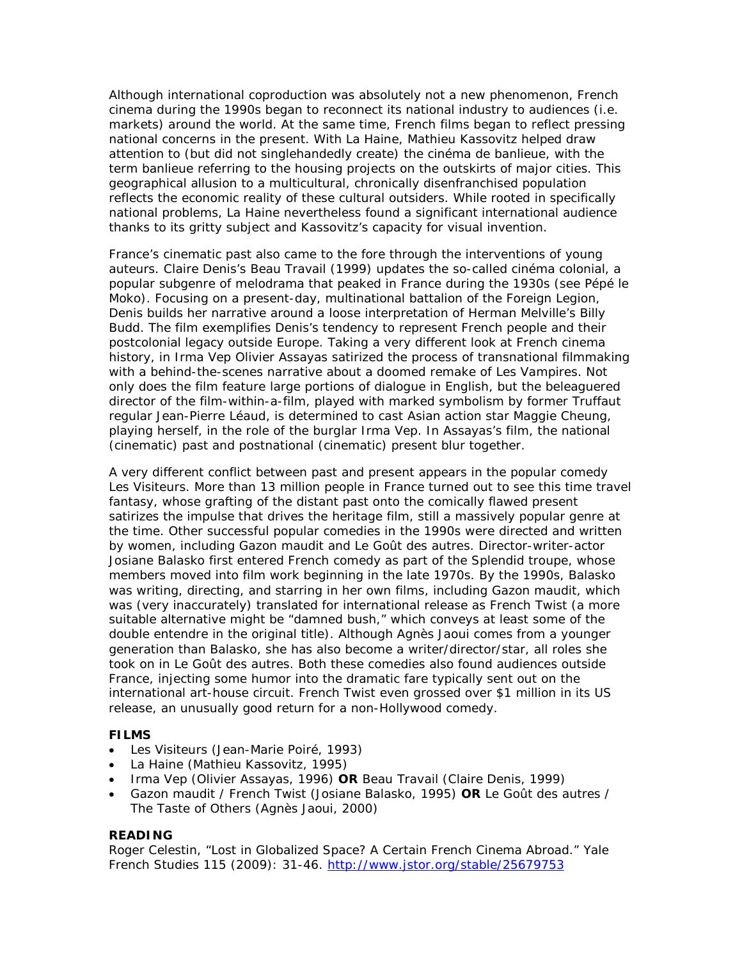Although international coproduction was absolutely not a new phenomenon, French cinema during the 1990s began to reconnect its national industry to audiences (i.e. markets) around the world. At the same time, French films began to reflect pressing national concerns in the present. With *La Haine*, Mathieu Kassovitz helped draw attention to (but did not singlehandedly create) the *cinéma de banlieue*, with the term *banlieue* referring to the housing projects on the outskirts of major cities. This geographical allusion to a multicultural, chronically disenfranchised population reflects the economic reality of these cultural outsiders. While rooted in specifically national problems, *La Haine* nevertheless found a significant international audience thanks to its gritty subject and Kassovitz's capacity for visual invention.

France's cinematic past also came to the fore through the interventions of young auteurs. Claire Denis's *Beau Travail* (1999) updates the so-called *cinéma colonial*, a popular subgenre of melodrama that peaked in France during the 1930s (see *Pépé le Moko*). Focusing on a present-day, multinational battalion of the Foreign Legion, Denis builds her narrative around a loose interpretation of Herman Melville's *Billy Budd*. The film exemplifies Denis's tendency to represent French people and their postcolonial legacy outside Europe. Taking a very different look at French cinema history, in *Irma Vep* Olivier Assayas satirized the process of transnational filmmaking with a behind-the-scenes narrative about a doomed remake of *Les Vampires*. Not only does the film feature large portions of dialogue in English, but the beleaguered director of the film-within-a-film, played with marked symbolism by former Truffaut regular Jean-Pierre Léaud, is determined to cast Asian action star Maggie Cheung, playing herself, in the role of the burglar Irma Vep. In Assayas's film, the national (cinematic) past and postnational (cinematic) present blur together.

A very different conflict between past and present appears in the popular comedy *Les Visiteurs*. More than 13 million people in France turned out to see this time travel fantasy, whose grafting of the distant past onto the comically flawed present satirizes the impulse that drives the heritage film, still a massively popular genre at the time. Other successful popular comedies in the 1990s were directed and written by women, including *Gazon maudit* and *Le Goût des autres*. Director-writer-actor Josiane Balasko first entered French comedy as part of the Splendid troupe, whose members moved into film work beginning in the late 1970s. By the 1990s, Balasko was writing, directing, and starring in her own films, including *Gazon maudit*, which was (very inaccurately) translated for international release as *French Twist* (a more suitable alternative might be "damned bush," which conveys at least some of the double entendre in the original title). Although Agnès Jaoui comes from a younger generation than Balasko, she has also become a writer/director/star, all roles she took on in *Le Goût des autres*. Both these comedies also found audiences outside France, injecting some humor into the dramatic fare typically sent out on the international art-house circuit. *French Twist* even grossed over \$1 million in its US release, an unusually good return for a non-Hollywood comedy.

## **FILMS**

- *Les Visiteurs* (Jean-Marie Poiré, 1993)
- *La Haine* (Mathieu Kassovitz, 1995)
- *Irma Vep* (Olivier Assayas, 1996) **OR** *Beau Travail* (Claire Denis, 1999)
- *Gazon maudit / French Twist* (Josiane Balasko, 1995) **OR** *Le Goût des autres / The Taste of Others* (Agnès Jaoui, 2000)

#### **READING**

Roger Celestin, "Lost in Globalized Space? A Certain French Cinema Abroad." *Yale French Studies* 115 (2009): 31-46.<http://www.jstor.org/stable/25679753>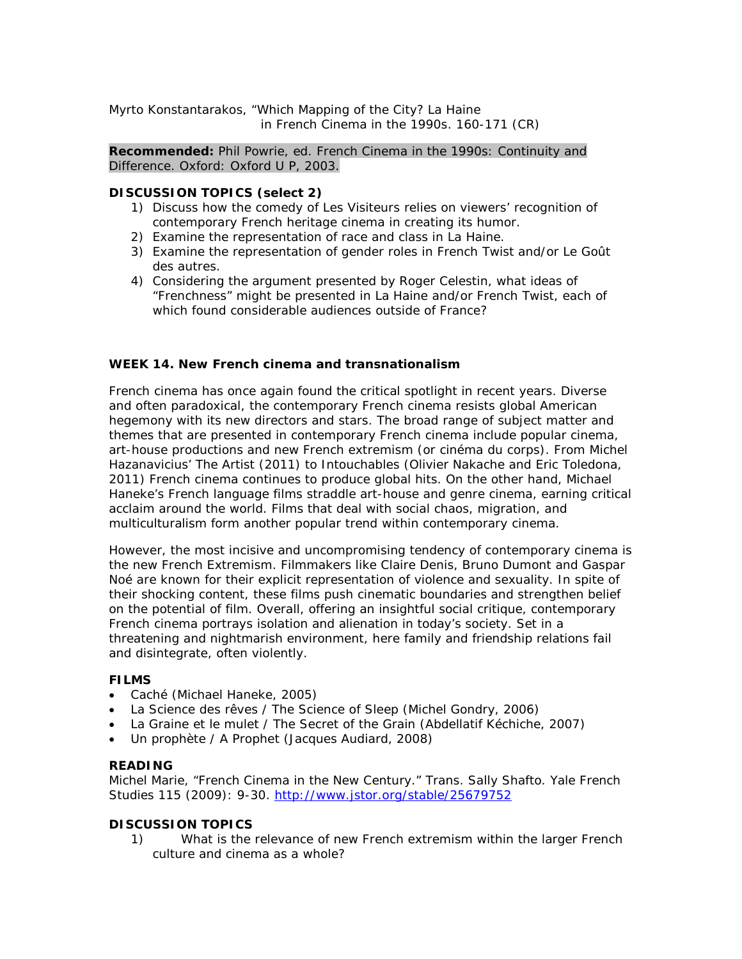Myrto Konstantarakos, "Which Mapping of the City? *La Haine* in *French Cinema in the 1990s*. 160-171 (CR)

**Recommended:** Phil Powrie, ed. *French Cinema in the 1990s: Continuity and Difference*. Oxford: Oxford U P, 2003.

## **DISCUSSION TOPICS (select 2)**

- 1) Discuss how the comedy of *Les Visiteurs* relies on viewers' recognition of contemporary French heritage cinema in creating its humor.
- 2) Examine the representation of race and class in *La Haine*.
- 3) Examine the representation of gender roles in *French Twist* and/or *Le Goût des autres*.
- 4) Considering the argument presented by Roger Celestin, what ideas of "Frenchness" might be presented in *La Haine* and/or *French Twist*, each of which found considerable audiences outside of France?

## **WEEK 14. New French cinema and transnationalism**

French cinema has once again found the critical spotlight in recent years. Diverse and often paradoxical, the contemporary French cinema resists global American hegemony with its new directors and stars. The broad range of subject matter and themes that are presented in contemporary French cinema include popular cinema, art-house productions and new French extremism (or *cinéma du corps*). From Michel Hazanavicius' *The Artist* (2011) to *Intouchables* (Olivier Nakache and Eric Toledona, 2011) French cinema continues to produce global hits. On the other hand, Michael Haneke's French language films straddle art-house and genre cinema, earning critical acclaim around the world. Films that deal with social chaos, migration, and multiculturalism form another popular trend within contemporary cinema.

However, the most incisive and uncompromising tendency of contemporary cinema is the new French Extremism. Filmmakers like Claire Denis, Bruno Dumont and Gaspar Noé are known for their explicit representation of violence and sexuality. In spite of their shocking content, these films push cinematic boundaries and strengthen belief on the potential of film. Overall, offering an insightful social critique, contemporary French cinema portrays isolation and alienation in today's society. Set in a threatening and nightmarish environment, here family and friendship relations fail and disintegrate, often violently.

#### **FILMS**

- *Caché* (Michael Haneke, 2005)
- *La Science des rêves* / *The Science of Sleep* (Michel Gondry, 2006)
- La Graine et le mulet / The Secret of the Grain (Abdellatif Kéchiche, 2007)
- *Un prophète / A Prophet* (Jacques Audiard, 2008)

#### **READING**

Michel Marie, "French Cinema in the New Century." Trans. Sally Shafto. *Yale French Studies* 115 (2009): 9-30.<http://www.jstor.org/stable/25679752>

#### **DISCUSSION TOPICS**

1) What is the relevance of new French extremism within the larger French culture and cinema as a whole?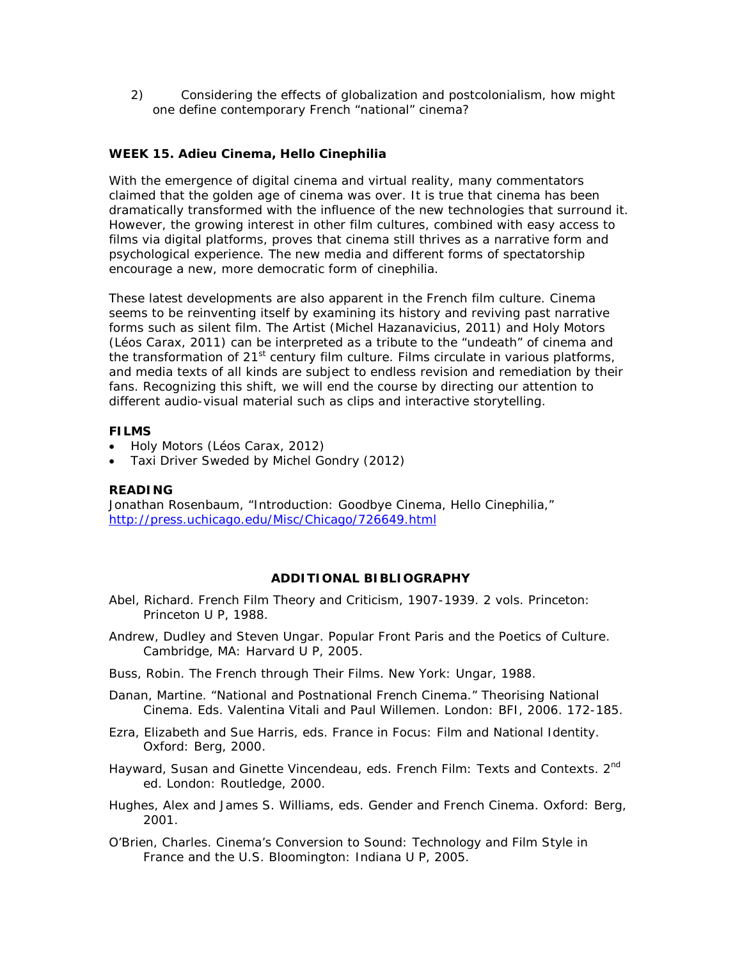2) Considering the effects of globalization and postcolonialism, how might one define contemporary French "national" cinema?

## **WEEK 15. Adieu Cinema, Hello Cinephilia**

With the emergence of digital cinema and virtual reality, many commentators claimed that the golden age of cinema was over. It is true that cinema has been dramatically transformed with the influence of the new technologies that surround it. However, the growing interest in other film cultures, combined with easy access to films via digital platforms, proves that cinema still thrives as a narrative form and psychological experience. The new media and different forms of spectatorship encourage a new, more democratic form of cinephilia.

These latest developments are also apparent in the French film culture. Cinema seems to be reinventing itself by examining its history and reviving past narrative forms such as silent film. *The Artist* (Michel Hazanavicius, 2011) and *Holy Motors* (Léos Carax, 2011) can be interpreted as a tribute to the "undeath" of cinema and the transformation of  $21^{st}$  century film culture. Films circulate in various platforms, and media texts of all kinds are subject to endless revision and remediation by their fans. Recognizing this shift, we will end the course by directing our attention to different audio-visual material such as clips and interactive storytelling.

#### **FILMS**

- *Holy Motors* (Léos Carax, 2012)
- *Taxi Driver Sweded* by Michel Gondry (2012)

#### **READING**

Jonathan Rosenbaum, "Introduction: Goodbye Cinema, Hello Cinephilia," <http://press.uchicago.edu/Misc/Chicago/726649.html>

#### **ADDITIONAL BIBLIOGRAPHY**

- Abel, Richard. *French Film Theory and Criticism, 1907-1939*. 2 vols. Princeton: Princeton U P, 1988.
- Andrew, Dudley and Steven Ungar. *Popular Front Paris and the Poetics of Culture*. Cambridge, MA: Harvard U P, 2005.
- Buss, Robin. *The French through Their Films*. New York: Ungar, 1988.
- Danan, Martine. "National and Postnational French Cinema." *Theorising National Cinema*. Eds. Valentina Vitali and Paul Willemen. London: BFI, 2006. 172-185.
- Ezra, Elizabeth and Sue Harris, eds. *France in Focus: Film and National Identity*. Oxford: Berg, 2000.
- Hayward, Susan and Ginette Vincendeau, eds. *French Film: Texts and Contexts*. 2nd ed. London: Routledge, 2000.
- Hughes, Alex and James S. Williams, eds. *Gender and French Cinema*. Oxford: Berg, 2001.
- O'Brien, Charles. *Cinema's Conversion to Sound: Technology and Film Style in France and the U.S.* Bloomington: Indiana U P, 2005.